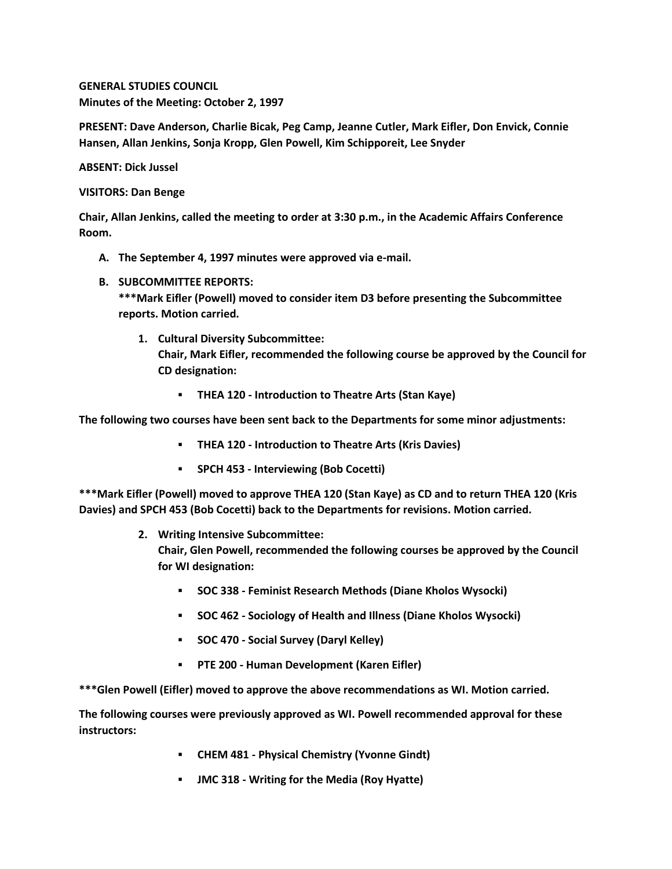**GENERAL STUDIES COUNCIL Minutes of the Meeting: October 2, 1997**

**PRESENT: Dave Anderson, Charlie Bicak, Peg Camp, Jeanne Cutler, Mark Eifler, Don Envick, Connie Hansen, Allan Jenkins, Sonja Kropp, Glen Powell, Kim Schipporeit, Lee Snyder**

**ABSENT: Dick Jussel**

**VISITORS: Dan Benge**

**Chair, Allan Jenkins, called the meeting to order at 3:30 p.m., in the Academic Affairs Conference Room.**

- **A. The September 4, 1997 minutes were approved via e-mail.**
- **B. SUBCOMMITTEE REPORTS:**

**\*\*\*Mark Eifler (Powell) moved to consider item D3 before presenting the Subcommittee reports. Motion carried.** 

**1. Cultural Diversity Subcommittee:**

**Chair, Mark Eifler, recommended the following course be approved by the Council for CD designation:** 

**THEA 120 - Introduction to Theatre Arts (Stan Kaye)**

**The following two courses have been sent back to the Departments for some minor adjustments:** 

- **THEA 120 - Introduction to Theatre Arts (Kris Davies)**
- **SPCH 453 - Interviewing (Bob Cocetti)**

**\*\*\*Mark Eifler (Powell) moved to approve THEA 120 (Stan Kaye) as CD and to return THEA 120 (Kris Davies) and SPCH 453 (Bob Cocetti) back to the Departments for revisions. Motion carried.**

**2. Writing Intensive Subcommittee:**

**Chair, Glen Powell, recommended the following courses be approved by the Council for WI designation:** 

- **SOC 338 - Feminist Research Methods (Diane Kholos Wysocki)**
- **SOC 462 - Sociology of Health and Illness (Diane Kholos Wysocki)**
- **SOC 470 - Social Survey (Daryl Kelley)**
- **PTE 200 - Human Development (Karen Eifler)**

**\*\*\*Glen Powell (Eifler) moved to approve the above recommendations as WI. Motion carried.** 

**The following courses were previously approved as WI. Powell recommended approval for these instructors:**

- **CHEM 481 - Physical Chemistry (Yvonne Gindt)**
- **JMC 318 - Writing for the Media (Roy Hyatte)**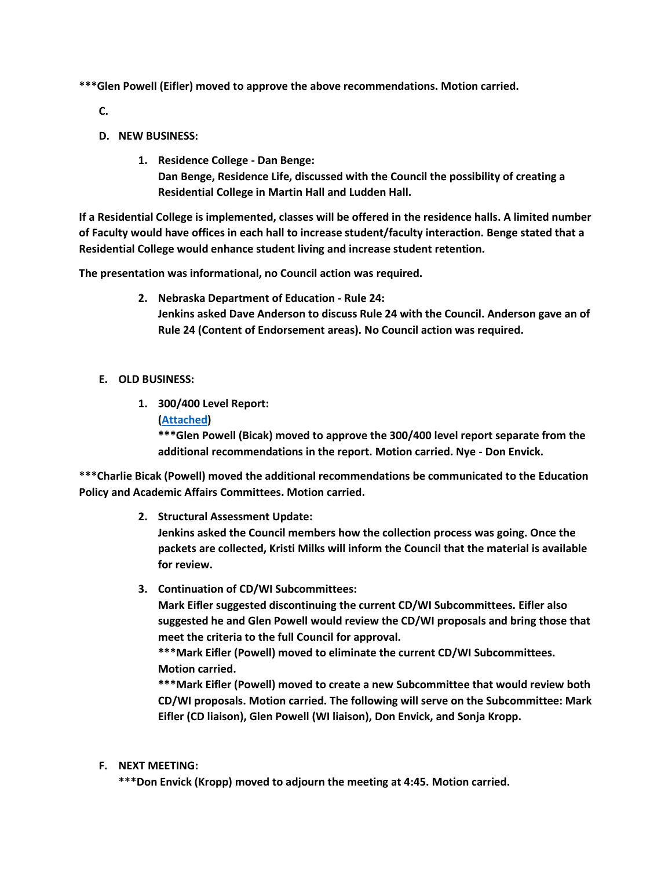**\*\*\*Glen Powell (Eifler) moved to approve the above recommendations. Motion carried.**

**C.**

- **D. NEW BUSINESS:**
	- **1. Residence College - Dan Benge: Dan Benge, Residence Life, discussed with the Council the possibility of creating a Residential College in Martin Hall and Ludden Hall.**

**If a Residential College is implemented, classes will be offered in the residence halls. A limited number of Faculty would have offices in each hall to increase student/faculty interaction. Benge stated that a Residential College would enhance student living and increase student retention.**

**The presentation was informational, no Council action was required.**

- **2. Nebraska Department of Education - Rule 24: Jenkins asked Dave Anderson to discuss Rule 24 with the Council. Anderson gave an of Rule 24 (Content of Endorsement areas). No Council action was required.**
- **E. OLD BUSINESS:**
	- **1. 300/400 Level Report: [\(Attached\)](http://www.unk.edu/academicaffairs/generalstudies/index.php?id=4002)**

**\*\*\*Glen Powell (Bicak) moved to approve the 300/400 level report separate from the additional recommendations in the report. Motion carried. Nye - Don Envick.** 

**\*\*\*Charlie Bicak (Powell) moved the additional recommendations be communicated to the Education Policy and Academic Affairs Committees. Motion carried.**

**2. Structural Assessment Update:**

**Jenkins asked the Council members how the collection process was going. Once the packets are collected, Kristi Milks will inform the Council that the material is available for review.**

**3. Continuation of CD/WI Subcommittees:**

**Mark Eifler suggested discontinuing the current CD/WI Subcommittees. Eifler also suggested he and Glen Powell would review the CD/WI proposals and bring those that meet the criteria to the full Council for approval.**

**\*\*\*Mark Eifler (Powell) moved to eliminate the current CD/WI Subcommittees. Motion carried.**

**\*\*\*Mark Eifler (Powell) moved to create a new Subcommittee that would review both CD/WI proposals. Motion carried. The following will serve on the Subcommittee: Mark Eifler (CD liaison), Glen Powell (WI liaison), Don Envick, and Sonja Kropp.**

**F. NEXT MEETING:**

**\*\*\*Don Envick (Kropp) moved to adjourn the meeting at 4:45. Motion carried.**